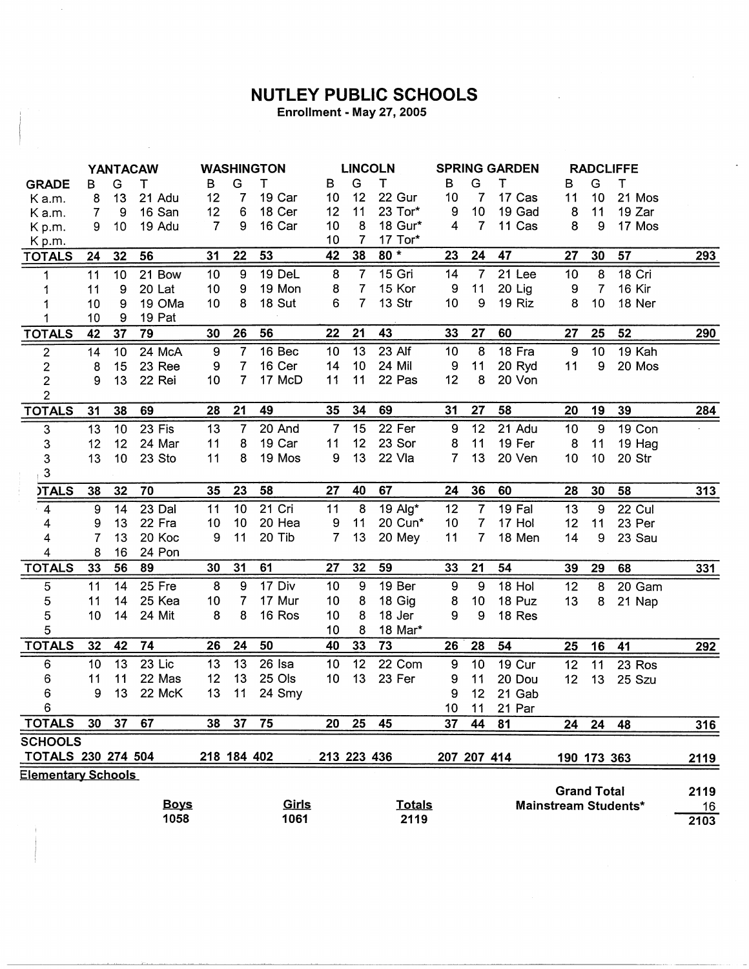## NUTLEY PUBLIC SCHOOLS

Enrollment - May 27, 2005

|                           | <b>YANTACAW</b> |                 |             | <b>WASHINGTON</b> |             |              |                 | <b>LINCOLN</b>  |               | <b>SPRING GARDEN</b> |                |        | <b>RADCLIFFE</b>   |                |                      |            |
|---------------------------|-----------------|-----------------|-------------|-------------------|-------------|--------------|-----------------|-----------------|---------------|----------------------|----------------|--------|--------------------|----------------|----------------------|------------|
| <b>GRADE</b>              | В               | G               | Т           | в                 | G           | т            | В               | G               | T             | в                    | G              | т      | В                  | G              | т                    |            |
| K a.m.                    | 8               | 13              | 21 Adu      | 12                | 7           | 19 Car       | 10 <sup>°</sup> | 12              | 22 Gur        | 10                   | $\overline{7}$ | 17 Cas | 11                 | 10             | 21 Mos               |            |
| K a.m.                    | 7               | 9               | 16 San      | 12                | 6           | 18 Cer       | 12              | 11              | 23 Tor*       | 9                    | 10             | 19 Gad | 8                  | 11             | 19 Zar               |            |
| Kp.m.                     | 9               | 10 <sub>1</sub> | 19 Adu      | $\overline{7}$    | 9           | 16 Car       | 10              | 8               | 18 Gur*       | 4                    | $\overline{7}$ | 11 Cas | 8                  | 9              | 17 Mos               |            |
| Kp.m.                     |                 |                 |             |                   |             |              | 10              | $\overline{7}$  | 17 Tor*       |                      |                |        |                    |                |                      |            |
| <b>TOTALS</b>             | 24              | 32              | 56          | 31                | 22          | 53           | 42              | 38              | $80*$         | 23                   | 24             | 47     | 27                 | 30             | 57                   | <u>293</u> |
| 1                         | 11              | 10              | 21 Bow      | 10                | 9           | 19 DeL       | 8               | $\overline{7}$  | 15 Gri        | 14                   | $\overline{7}$ | 21 Lee | 10                 | 8              | 18 Cri               |            |
|                           | 11              | 9               | 20 Lat      | 10                | 9           | 19 Mon       | 8               | $\overline{7}$  | 15 Kor        | 9                    | 11             | 20 Lig | 9                  | $\overline{7}$ | 16 Kir               |            |
|                           | 10              | 9               | 19 OMa      | 10                | 8           | 18 Sut       | 6               | $\overline{7}$  | 13 Str        | 10                   | 9              | 19 Riz | 8                  | 10             | 18 Ner               |            |
|                           | 10              | 9               | 19 Pat      |                   |             |              |                 |                 |               |                      |                |        |                    |                |                      |            |
| <b>TOTALS</b>             | 42              | 37              | 79          | 30                | 26          | 56           | 22              | 21              | 43            | 33                   | 27             | 60     | 27                 | 25             | 52                   | 290        |
| $\sqrt{2}$                | 14              | 10              | 24 McA      | $\boldsymbol{9}$  | 7           | 16 Bec       | 10              | $\overline{13}$ | 23 Alf        | 10                   | 8              | 18 Fra | 9                  | 10             | 19 Kah               |            |
| $\mathbf 2$               | 8               | 15              | 23 Ree      | 9                 | 7           | 16 Cer       | 14              | 10              | 24 Mil        | 9                    | 11             | 20 Ryd | 11                 | 9              | 20 Mos               |            |
| $\mathbf 2$               | 9               | 13              | 22 Rei      | 10                | 7           | 17 McD       | 11              | 11              | 22 Pas        | 12                   | 8              | 20 Von |                    |                |                      |            |
| $\overline{2}$            |                 |                 |             |                   |             |              |                 |                 |               |                      |                |        |                    |                |                      |            |
| <b>TOTALS</b>             | 31              | 38              | 69          | 28                | 21          | 49           | 35              | 34              | 69            | 31                   | 27             | 58     | 20                 | 19             | 39                   | 284        |
| 3                         | 13              | 10              | 23 Fis      | 13                | 7           | 20 And       | $\overline{7}$  | 15              | 22 Fer        | 9                    | 12             | 21 Adu | 10                 | 9              | 19 Con               |            |
| 3                         | 12              | 12              | 24 Mar      | 11                | 8           | 19 Car       | 11              | 12              | 23 Sor        | 8                    | 11             | 19 Fer | 8                  | 11             | 19 Hag               |            |
| 3                         | 13              | 10              | 23 Sto      | 11                | 8           | 19 Mos       | 9               | 13              | 22 Vla        | $\overline{7}$       | 13             | 20 Ven | 10                 | 10             | 20 Str               |            |
| $\mathbf{3}$              |                 |                 |             |                   |             |              |                 |                 |               |                      |                |        |                    |                |                      |            |
| <b>ITALS</b>              | 38              | 32              | 70          | 35                | 23          | 58           | 27              | 40              | 67            | 24                   | 36             | 60     | 28                 | 30             | 58                   | <u>313</u> |
| $\overline{4}$            | 9               | 14              | 23 Dal      | 11                | 10          | 21 Cri       | 11              | 8               | 19 Alg*       | 12                   | $\overline{7}$ | 19 Fal | 13                 | $\overline{9}$ | 22 Cul               |            |
| 4                         | 9               | 13              | 22 Fra      | 10                | 10          | 20 Hea       | 9               | 11              | 20 Cun*       | 10                   | $\overline{7}$ | 17 Hol | 12                 | 11             | 23 Per               |            |
| 4                         | $\overline{7}$  | 13              | 20 Koc      | 9                 | 11          | 20 Tib       | $\overline{7}$  | 13              | 20 Mey        | 11                   | $\overline{7}$ | 18 Men | 14                 | 9              | 23 Sau               |            |
| 4                         | 8               | 16              | 24 Pon      |                   |             |              |                 |                 |               |                      |                |        |                    |                |                      |            |
| <b>TOTALS</b>             | 33              | 56              | 89          | 30                | 31          | 61           | 27              | 32              | 59            | 33                   | 21             | 54     | 39                 | 29             | 68                   | 331        |
| 5                         | 11              | 14              | 25 Fre      | 8                 | 9           | 17 Div       | 10              | 9               | 19 Ber        | $\boldsymbol{9}$     | 9              | 18 Hol | 12                 | 8              | 20 Gam               |            |
| 5                         | 11              | 14              | 25 Kea      | 10                | 7           | 17 Mur       | 10              | 8               | 18 Gig        | 8                    | 10             | 18 Puz | 13                 | 8              | 21 Nap               |            |
| 5                         | 10              | 14              | 24 Mit      | 8                 | 8           | 16 Ros       | 10              | 8               | 18 Jer        | 9                    | 9              | 18 Res |                    |                |                      |            |
| 5                         |                 |                 |             |                   |             |              | 10              | 8               | 18 Mar*       |                      |                |        |                    |                |                      |            |
| <b>TOTALS</b>             | 32              | 42              | 74          | 26                | 24          | 50           | 40              | 33              | 73            | 26                   | 28             | 54     | 25                 | 16             | 41                   | 292        |
| 6                         | 10              | 13              | $23$ Lic    | 13                | 13          | 26 Isa       | 10              | 12              | 22 Com        | 9                    | 10             | 19 Cur | 12                 | 11             | 23 Ros               |            |
| 6                         | 11              | 11              | 22 Mas      | 12                | 13          | 25 Ols       | 10              | 13              | 23 Fer        | 9                    | 11             | 20 Dou | 12                 | 13             | 25 Szu               |            |
| 6                         | 9               | 13              | 22 McK      | 13                | 11          | 24 Smy       |                 |                 |               | 9                    | 12             | 21 Gab |                    |                |                      |            |
| 6                         |                 |                 |             |                   |             |              |                 |                 |               | 10 <sub>1</sub>      | 11             | 21 Par |                    |                |                      |            |
| <b>TOTALS</b>             | 30 <sub>o</sub> | 37              | 67          | 38                | 37          | 75           | 20              | 25              | 45            | 37                   | 44             | 81     | 24                 | 24             | 48                   | 316        |
| <b>SCHOOLS</b>            |                 |                 |             |                   |             |              |                 |                 |               |                      |                |        |                    |                |                      |            |
| <b>TOTALS 230 274 504</b> |                 |                 |             |                   | 218 184 402 |              | 213 223 436     |                 |               | 207 207 414          |                |        | 190 173 363        |                |                      | 2119       |
| <b>Elementary Schools</b> |                 |                 |             |                   |             |              |                 |                 |               |                      |                |        |                    |                |                      |            |
|                           |                 |                 |             |                   |             |              |                 |                 |               |                      |                |        | <b>Grand Total</b> |                |                      | 2119       |
|                           |                 |                 | <b>Boys</b> |                   |             | Girls        |                 |                 | <b>Totals</b> |                      |                |        |                    |                | Mainstream Students* | 16         |
| 1058                      |                 |                 |             |                   |             | 1061<br>2119 |                 |                 |               |                      |                |        |                    |                |                      | 2103       |